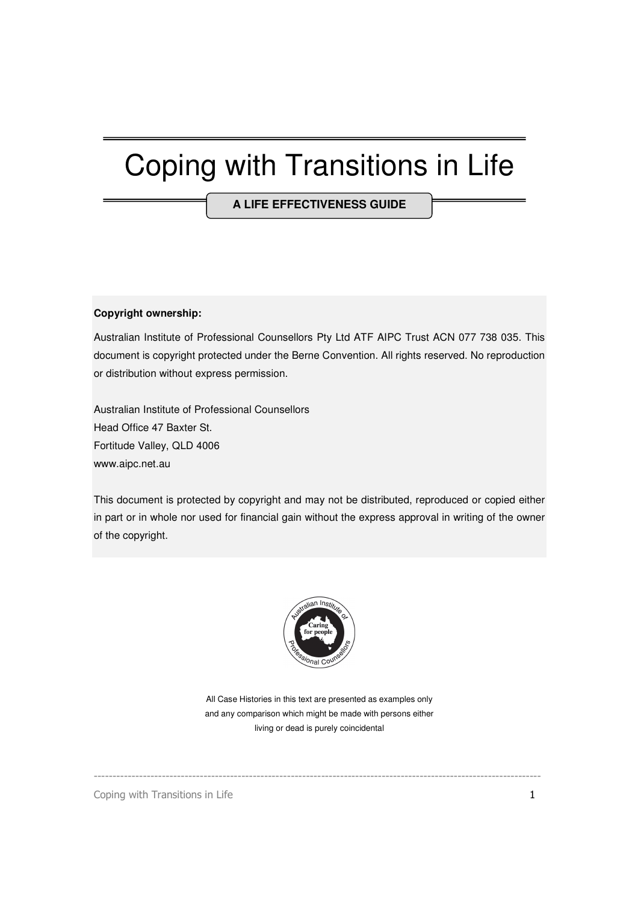# Coping with Transitions in Life

**A LIFE EFFECTIVENESS GUIDE**

#### **Copyright ownership:**

Australian Institute of Professional Counsellors Pty Ltd ATF AIPC Trust ACN 077 738 035. This document is copyright protected under the Berne Convention. All rights reserved. No reproduction or distribution without express permission.

Australian Institute of Professional Counsellors Head Office 47 Baxter St. Fortitude Valley, QLD 4006 www.aipc.net.au

This document is protected by copyright and may not be distributed, reproduced or copied either in part or in whole nor used for financial gain without the express approval in writing of the owner of the copyright.



All Case Histories in this text are presented as examples only and any comparison which might be made with persons either living or dead is purely coincidental

----------------------------------------------------------------------------------------------------------------------

Coping with Transitions in Life 1 and 1 and 2 and 2 and 2 and 2 and 2 and 2 and 2 and 2 and 2 and 2 and 2 and 2 and 2 and 2 and 2 and 2 and 2 and 2 and 2 and 2 and 2 and 2 and 2 and 2 and 2 and 2 and 2 and 2 and 2 and 2 an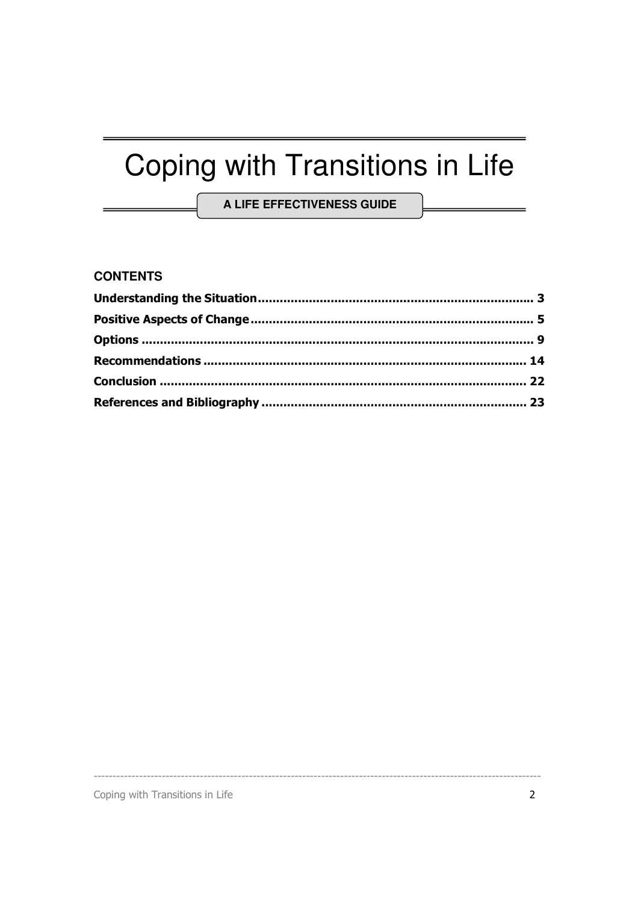# Coping with Transitions in Life

A LIFE EFFECTIVENESS GUIDE

## **CONTENTS**

Coping with Transitions in Life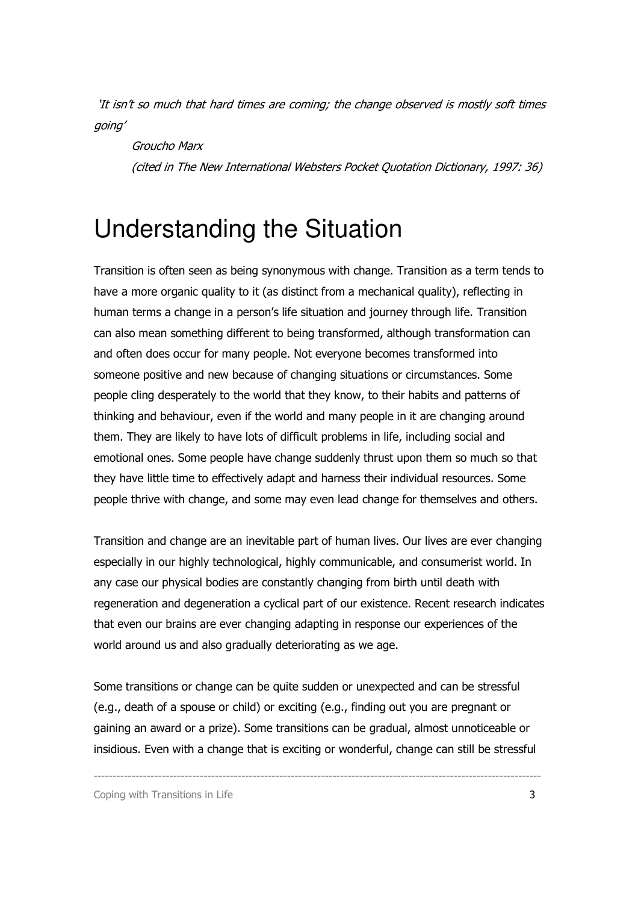'It isn't so much that hard times are coming; the change observed is mostly soft times going'

Groucho Marx (cited in The New International Websters Pocket Quotation Dictionary, 1997: 36)

# Understanding the Situation

Transition is often seen as being synonymous with change. Transition as a term tends to have a more organic quality to it (as distinct from a mechanical quality), reflecting in human terms a change in a person's life situation and journey through life. Transition can also mean something different to being transformed, although transformation can and often does occur for many people. Not everyone becomes transformed into someone positive and new because of changing situations or circumstances. Some people cling desperately to the world that they know, to their habits and patterns of thinking and behaviour, even if the world and many people in it are changing around them. They are likely to have lots of difficult problems in life, including social and emotional ones. Some people have change suddenly thrust upon them so much so that they have little time to effectively adapt and harness their individual resources. Some people thrive with change, and some may even lead change for themselves and others.

Transition and change are an inevitable part of human lives. Our lives are ever changing especially in our highly technological, highly communicable, and consumerist world. In any case our physical bodies are constantly changing from birth until death with regeneration and degeneration a cyclical part of our existence. Recent research indicates that even our brains are ever changing adapting in response our experiences of the world around us and also gradually deteriorating as we age.

Some transitions or change can be quite sudden or unexpected and can be stressful (e.g., death of a spouse or child) or exciting (e.g., finding out you are pregnant or gaining an award or a prize). Some transitions can be gradual, almost unnoticeable or insidious. Even with a change that is exciting or wonderful, change can still be stressful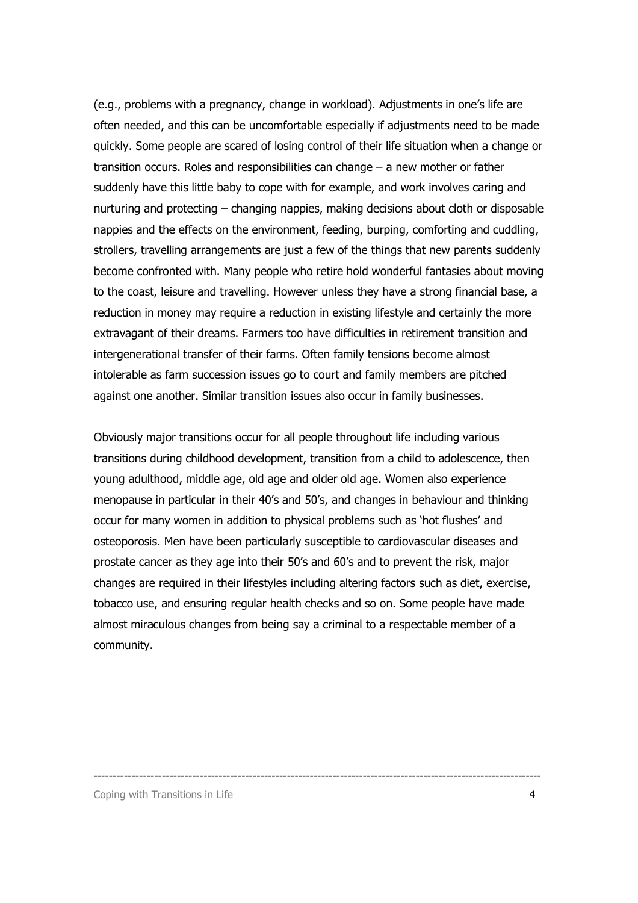(e.g., problems with a pregnancy, change in workload). Adjustments in one's life are often needed, and this can be uncomfortable especially if adjustments need to be made quickly. Some people are scared of losing control of their life situation when a change or transition occurs. Roles and responsibilities can change – a new mother or father suddenly have this little baby to cope with for example, and work involves caring and nurturing and protecting – changing nappies, making decisions about cloth or disposable nappies and the effects on the environment, feeding, burping, comforting and cuddling, strollers, travelling arrangements are just a few of the things that new parents suddenly become confronted with. Many people who retire hold wonderful fantasies about moving to the coast, leisure and travelling. However unless they have a strong financial base, a reduction in money may require a reduction in existing lifestyle and certainly the more extravagant of their dreams. Farmers too have difficulties in retirement transition and intergenerational transfer of their farms. Often family tensions become almost intolerable as farm succession issues go to court and family members are pitched against one another. Similar transition issues also occur in family businesses.

Obviously major transitions occur for all people throughout life including various transitions during childhood development, transition from a child to adolescence, then young adulthood, middle age, old age and older old age. Women also experience menopause in particular in their 40's and 50's, and changes in behaviour and thinking occur for many women in addition to physical problems such as 'hot flushes' and osteoporosis. Men have been particularly susceptible to cardiovascular diseases and prostate cancer as they age into their 50's and 60's and to prevent the risk, major changes are required in their lifestyles including altering factors such as diet, exercise, tobacco use, and ensuring regular health checks and so on. Some people have made almost miraculous changes from being say a criminal to a respectable member of a community.

----------------------------------------------------------------------------------------------------------------------

Coping with Transitions in Life 4 and 2008 and 2008 and 2008 and 2008 and 2008 and 2008 and 2008 and 2008 and 2008 and 2008 and 2008 and 2008 and 2008 and 2008 and 2008 and 2008 and 2008 and 2008 and 2008 and 2008 and 2008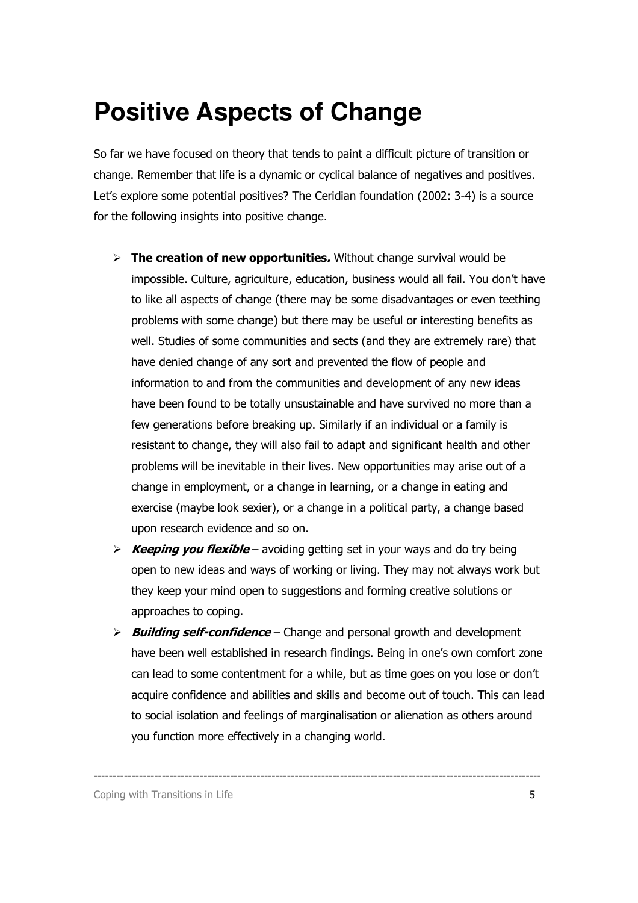# **Positive Aspects of Change**

So far we have focused on theory that tends to paint a difficult picture of transition or change. Remember that life is a dynamic or cyclical balance of negatives and positives. Let's explore some potential positives? The Ceridian foundation (2002: 3-4) is a source for the following insights into positive change.

- $\triangleright$  The creation of new opportunities. Without change survival would be impossible. Culture, agriculture, education, business would all fail. You don't have to like all aspects of change (there may be some disadvantages or even teething problems with some change) but there may be useful or interesting benefits as well. Studies of some communities and sects (and they are extremely rare) that have denied change of any sort and prevented the flow of people and information to and from the communities and development of any new ideas have been found to be totally unsustainable and have survived no more than a few generations before breaking up. Similarly if an individual or a family is resistant to change, they will also fail to adapt and significant health and other problems will be inevitable in their lives. New opportunities may arise out of a change in employment, or a change in learning, or a change in eating and exercise (maybe look sexier), or a change in a political party, a change based upon research evidence and so on.
- $\triangleright$  **Keeping you flexible** avoiding getting set in your ways and do try being open to new ideas and ways of working or living. They may not always work but they keep your mind open to suggestions and forming creative solutions or approaches to coping.
- $\triangleright$  **Building self-confidence** Change and personal growth and development have been well established in research findings. Being in one's own comfort zone can lead to some contentment for a while, but as time goes on you lose or don't acquire confidence and abilities and skills and become out of touch. This can lead to social isolation and feelings of marginalisation or alienation as others around you function more effectively in a changing world.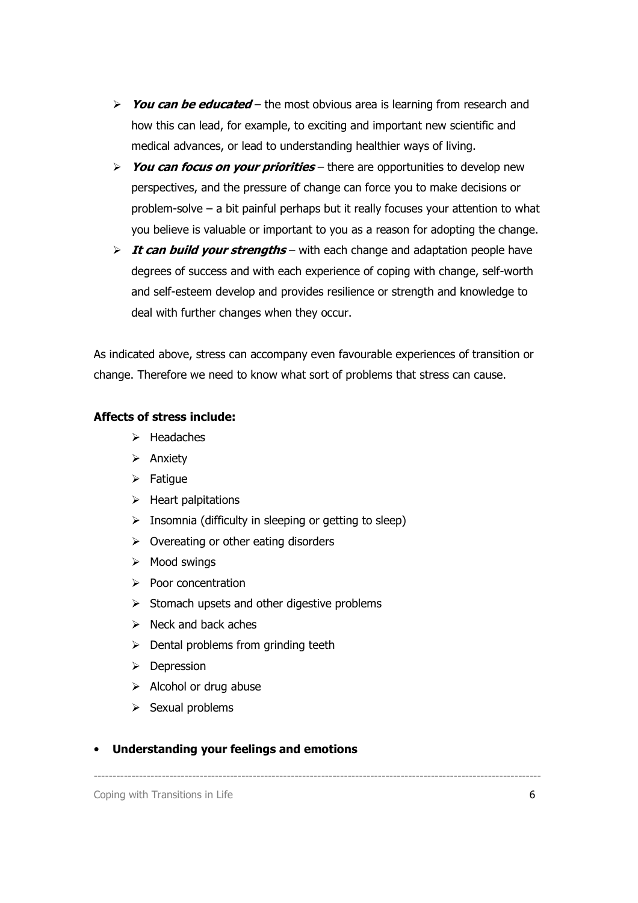- $\triangleright$  You can be educated the most obvious area is learning from research and how this can lead, for example, to exciting and important new scientific and medical advances, or lead to understanding healthier ways of living.
- You can focus on your priorities there are opportunities to develop new perspectives, and the pressure of change can force you to make decisions or problem-solve – a bit painful perhaps but it really focuses your attention to what you believe is valuable or important to you as a reason for adopting the change.
- $\triangleright$  It can build your strengths with each change and adaptation people have degrees of success and with each experience of coping with change, self-worth and self-esteem develop and provides resilience or strength and knowledge to deal with further changes when they occur.

As indicated above, stress can accompany even favourable experiences of transition or change. Therefore we need to know what sort of problems that stress can cause.

## Affects of stress include:

- $\triangleright$  Headaches
- $\triangleright$  Anxiety
- $\triangleright$  Fatique
- $\triangleright$  Heart palpitations
- $\triangleright$  Insomnia (difficulty in sleeping or getting to sleep)
- $\triangleright$  Overeating or other eating disorders
- $\triangleright$  Mood swings
- $\triangleright$  Poor concentration
- $\triangleright$  Stomach upsets and other digestive problems
- $\triangleright$  Neck and back aches
- $\triangleright$  Dental problems from grinding teeth
- $\triangleright$  Depression
- $\triangleright$  Alcohol or drug abuse
- $\triangleright$  Sexual problems

### • Understanding your feelings and emotions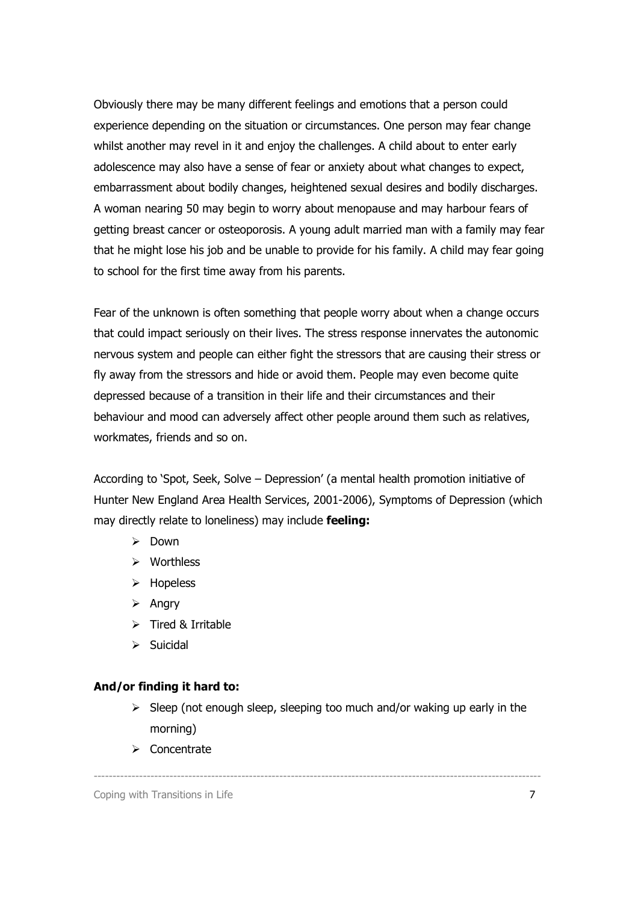Obviously there may be many different feelings and emotions that a person could experience depending on the situation or circumstances. One person may fear change whilst another may revel in it and enjoy the challenges. A child about to enter early adolescence may also have a sense of fear or anxiety about what changes to expect, embarrassment about bodily changes, heightened sexual desires and bodily discharges. A woman nearing 50 may begin to worry about menopause and may harbour fears of getting breast cancer or osteoporosis. A young adult married man with a family may fear that he might lose his job and be unable to provide for his family. A child may fear going to school for the first time away from his parents.

Fear of the unknown is often something that people worry about when a change occurs that could impact seriously on their lives. The stress response innervates the autonomic nervous system and people can either fight the stressors that are causing their stress or fly away from the stressors and hide or avoid them. People may even become quite depressed because of a transition in their life and their circumstances and their behaviour and mood can adversely affect other people around them such as relatives, workmates, friends and so on.

According to 'Spot, Seek, Solve – Depression' (a mental health promotion initiative of Hunter New England Area Health Services, 2001-2006), Symptoms of Depression (which may directly relate to loneliness) may include feeling:

- $\triangleright$  Down
- Worthless
- > Hopeless
- $\triangleright$  Angry
- $\triangleright$  Tired & Irritable
- $\triangleright$  Suicidal

### And/or finding it hard to:

 $\triangleright$  Sleep (not enough sleep, sleeping too much and/or waking up early in the morning)

----------------------------------------------------------------------------------------------------------------------

 $\triangleright$  Concentrate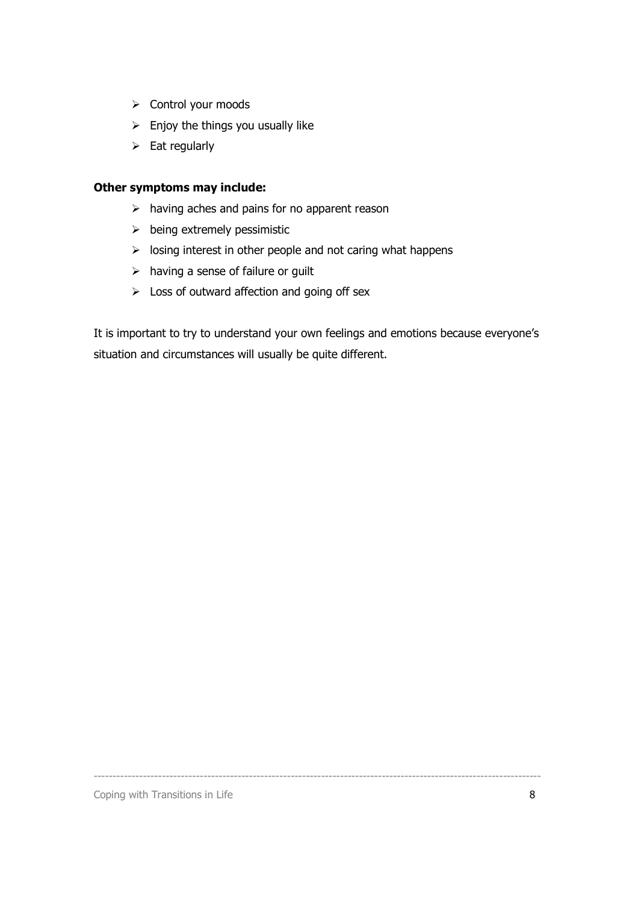- $\triangleright$  Control your moods
- $\triangleright$  Enjoy the things you usually like
- $\triangleright$  Eat regularly

### Other symptoms may include:

- $\triangleright$  having aches and pains for no apparent reason
- $\triangleright$  being extremely pessimistic
- $\triangleright$  losing interest in other people and not caring what happens
- $\triangleright$  having a sense of failure or guilt
- $\triangleright$  Loss of outward affection and going off sex

It is important to try to understand your own feelings and emotions because everyone's situation and circumstances will usually be quite different.

----------------------------------------------------------------------------------------------------------------------

 $\gamma$  Coping with Transitions in Life  $\gamma$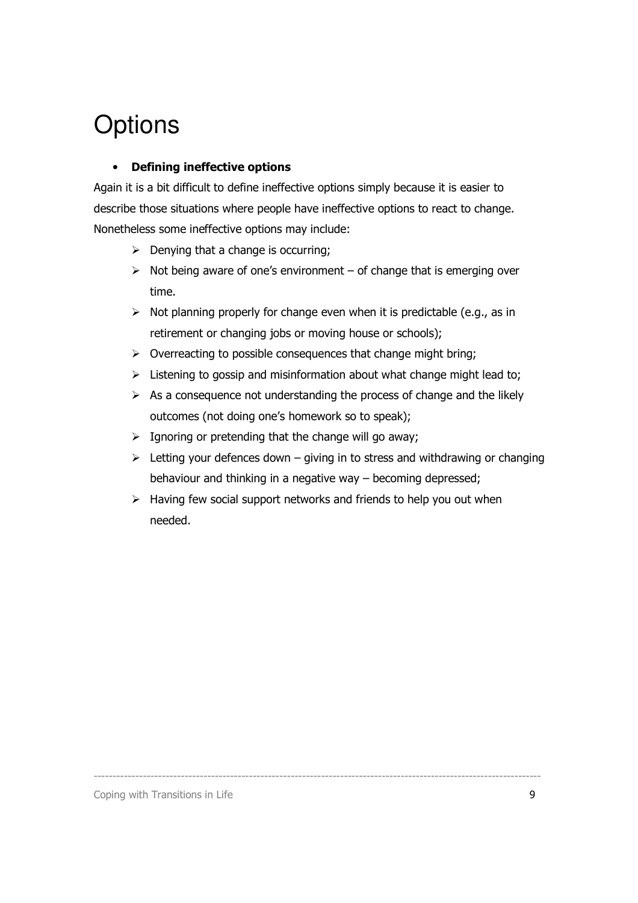# **Options**

# • Defining ineffective options

Again it is a bit difficult to define ineffective options simply because it is easier to describe those situations where people have ineffective options to react to change. Nonetheless some ineffective options may include:

- $\triangleright$  Denying that a change is occurring;
- $\triangleright$  Not being aware of one's environment of change that is emerging over time.
- $\triangleright$  Not planning properly for change even when it is predictable (e.g., as in retirement or changing jobs or moving house or schools);
- $\triangleright$  Overreacting to possible consequences that change might bring;
- $\triangleright$  Listening to gossip and misinformation about what change might lead to;
- $\triangleright$  As a consequence not understanding the process of change and the likely outcomes (not doing one's homework so to speak);
- $\triangleright$  Ignoring or pretending that the change will go away;
- $\triangleright$  Letting your defences down giving in to stress and withdrawing or changing behaviour and thinking in a negative way – becoming depressed;
- $\triangleright$  Having few social support networks and friends to help you out when needed.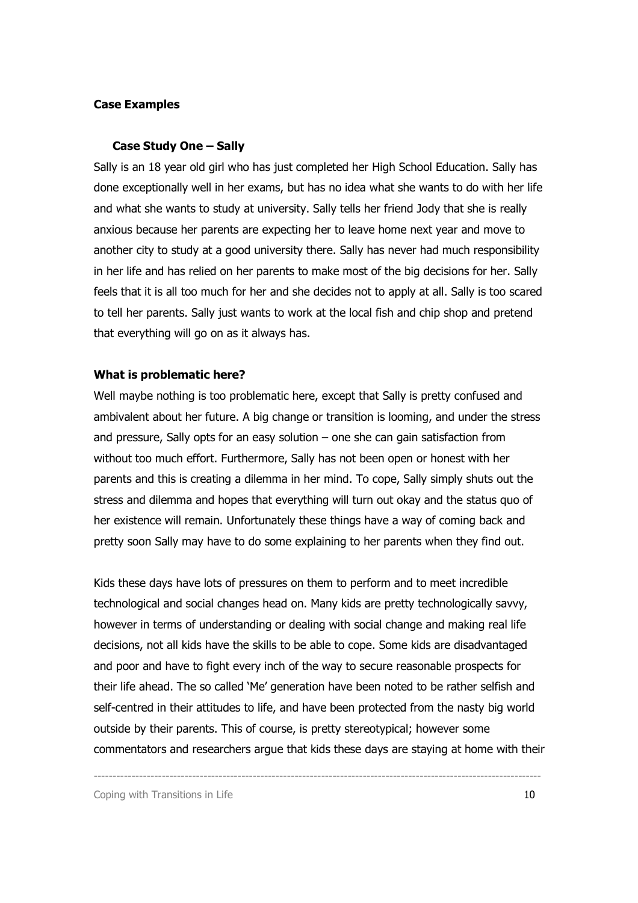#### Case Examples

#### Case Study One – Sally

Sally is an 18 year old girl who has just completed her High School Education. Sally has done exceptionally well in her exams, but has no idea what she wants to do with her life and what she wants to study at university. Sally tells her friend Jody that she is really anxious because her parents are expecting her to leave home next year and move to another city to study at a good university there. Sally has never had much responsibility in her life and has relied on her parents to make most of the big decisions for her. Sally feels that it is all too much for her and she decides not to apply at all. Sally is too scared to tell her parents. Sally just wants to work at the local fish and chip shop and pretend that everything will go on as it always has.

#### What is problematic here?

Well maybe nothing is too problematic here, except that Sally is pretty confused and ambivalent about her future. A big change or transition is looming, and under the stress and pressure, Sally opts for an easy solution – one she can gain satisfaction from without too much effort. Furthermore, Sally has not been open or honest with her parents and this is creating a dilemma in her mind. To cope, Sally simply shuts out the stress and dilemma and hopes that everything will turn out okay and the status quo of her existence will remain. Unfortunately these things have a way of coming back and pretty soon Sally may have to do some explaining to her parents when they find out.

Kids these days have lots of pressures on them to perform and to meet incredible technological and social changes head on. Many kids are pretty technologically savvy, however in terms of understanding or dealing with social change and making real life decisions, not all kids have the skills to be able to cope. Some kids are disadvantaged and poor and have to fight every inch of the way to secure reasonable prospects for their life ahead. The so called 'Me' generation have been noted to be rather selfish and self-centred in their attitudes to life, and have been protected from the nasty big world outside by their parents. This of course, is pretty stereotypical; however some commentators and researchers argue that kids these days are staying at home with their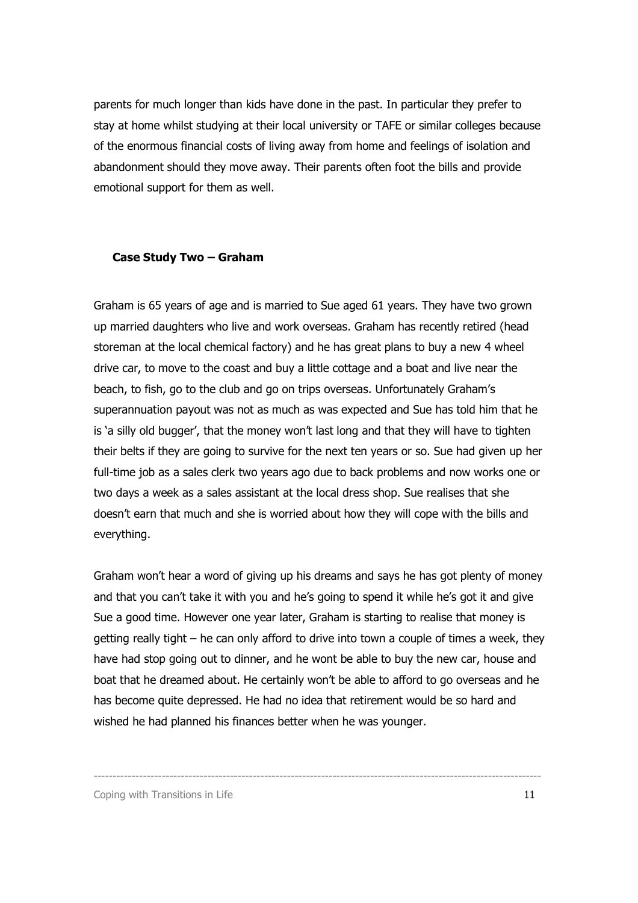parents for much longer than kids have done in the past. In particular they prefer to stay at home whilst studying at their local university or TAFE or similar colleges because of the enormous financial costs of living away from home and feelings of isolation and abandonment should they move away. Their parents often foot the bills and provide emotional support for them as well.

#### Case Study Two – Graham

Graham is 65 years of age and is married to Sue aged 61 years. They have two grown up married daughters who live and work overseas. Graham has recently retired (head storeman at the local chemical factory) and he has great plans to buy a new 4 wheel drive car, to move to the coast and buy a little cottage and a boat and live near the beach, to fish, go to the club and go on trips overseas. Unfortunately Graham's superannuation payout was not as much as was expected and Sue has told him that he is 'a silly old bugger', that the money won't last long and that they will have to tighten their belts if they are going to survive for the next ten years or so. Sue had given up her full-time job as a sales clerk two years ago due to back problems and now works one or two days a week as a sales assistant at the local dress shop. Sue realises that she doesn't earn that much and she is worried about how they will cope with the bills and everything.

Graham won't hear a word of giving up his dreams and says he has got plenty of money and that you can't take it with you and he's going to spend it while he's got it and give Sue a good time. However one year later, Graham is starting to realise that money is getting really tight – he can only afford to drive into town a couple of times a week, they have had stop going out to dinner, and he wont be able to buy the new car, house and boat that he dreamed about. He certainly won't be able to afford to go overseas and he has become quite depressed. He had no idea that retirement would be so hard and wished he had planned his finances better when he was younger.

----------------------------------------------------------------------------------------------------------------------

Coping with Transitions in Life  $11$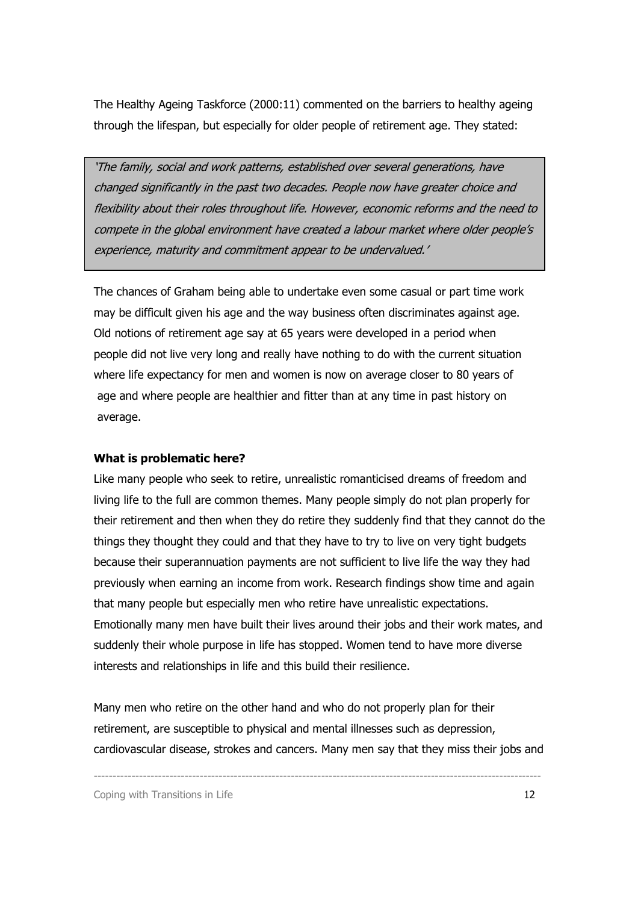The Healthy Ageing Taskforce (2000:11) commented on the barriers to healthy ageing through the lifespan, but especially for older people of retirement age. They stated:

'The family, social and work patterns, established over several generations, have changed significantly in the past two decades. People now have greater choice and flexibility about their roles throughout life. However, economic reforms and the need to compete in the global environment have created a labour market where older people's experience, maturity and commitment appear to be undervalued.'

The chances of Graham being able to undertake even some casual or part time work may be difficult given his age and the way business often discriminates against age. Old notions of retirement age say at 65 years were developed in a period when people did not live very long and really have nothing to do with the current situation where life expectancy for men and women is now on average closer to 80 years of age and where people are healthier and fitter than at any time in past history on average.

#### What is problematic here?

Like many people who seek to retire, unrealistic romanticised dreams of freedom and living life to the full are common themes. Many people simply do not plan properly for their retirement and then when they do retire they suddenly find that they cannot do the things they thought they could and that they have to try to live on very tight budgets because their superannuation payments are not sufficient to live life the way they had previously when earning an income from work. Research findings show time and again that many people but especially men who retire have unrealistic expectations. Emotionally many men have built their lives around their jobs and their work mates, and suddenly their whole purpose in life has stopped. Women tend to have more diverse interests and relationships in life and this build their resilience.

Many men who retire on the other hand and who do not properly plan for their retirement, are susceptible to physical and mental illnesses such as depression, cardiovascular disease, strokes and cancers. Many men say that they miss their jobs and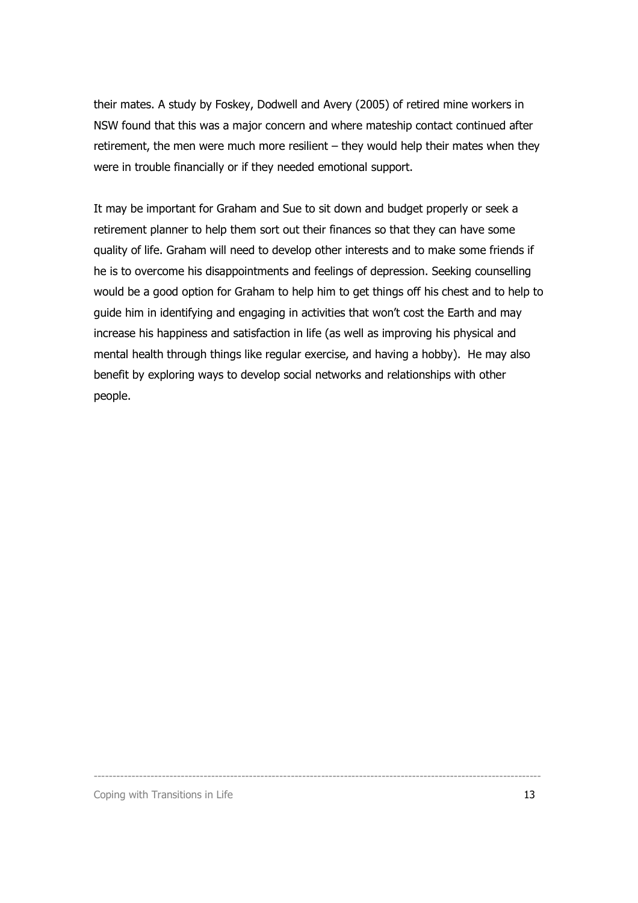their mates. A study by Foskey, Dodwell and Avery (2005) of retired mine workers in NSW found that this was a major concern and where mateship contact continued after retirement, the men were much more resilient – they would help their mates when they were in trouble financially or if they needed emotional support.

It may be important for Graham and Sue to sit down and budget properly or seek a retirement planner to help them sort out their finances so that they can have some quality of life. Graham will need to develop other interests and to make some friends if he is to overcome his disappointments and feelings of depression. Seeking counselling would be a good option for Graham to help him to get things off his chest and to help to guide him in identifying and engaging in activities that won't cost the Earth and may increase his happiness and satisfaction in life (as well as improving his physical and mental health through things like regular exercise, and having a hobby). He may also benefit by exploring ways to develop social networks and relationships with other people.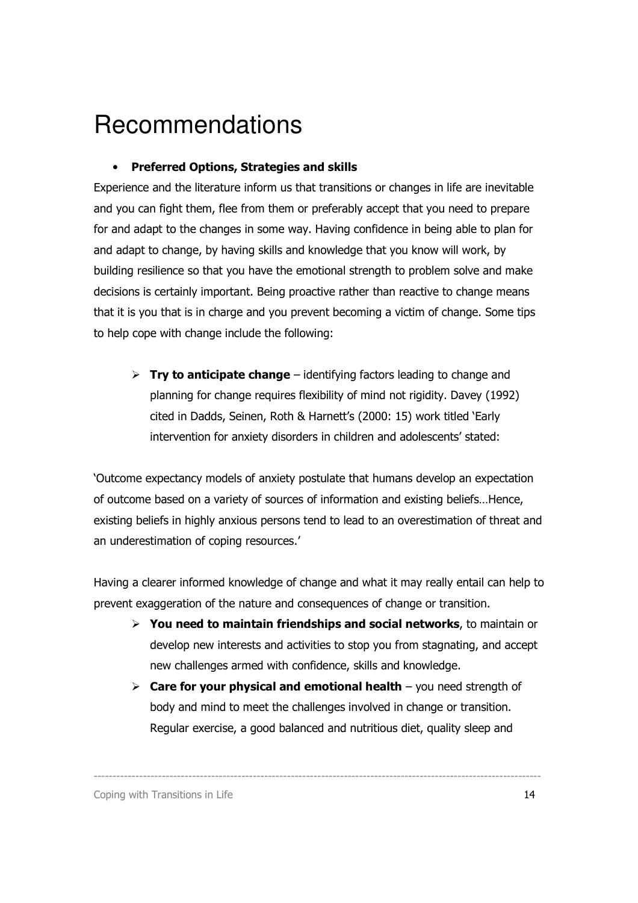# Recommendations

# • Preferred Options, Strategies and skills

Experience and the literature inform us that transitions or changes in life are inevitable and you can fight them, flee from them or preferably accept that you need to prepare for and adapt to the changes in some way. Having confidence in being able to plan for and adapt to change, by having skills and knowledge that you know will work, by building resilience so that you have the emotional strength to problem solve and make decisions is certainly important. Being proactive rather than reactive to change means that it is you that is in charge and you prevent becoming a victim of change. Some tips to help cope with change include the following:

 $\triangleright$  Try to anticipate change – identifying factors leading to change and planning for change requires flexibility of mind not rigidity. Davey (1992) cited in Dadds, Seinen, Roth & Harnett's (2000: 15) work titled 'Early intervention for anxiety disorders in children and adolescents' stated:

'Outcome expectancy models of anxiety postulate that humans develop an expectation of outcome based on a variety of sources of information and existing beliefs…Hence, existing beliefs in highly anxious persons tend to lead to an overestimation of threat and an underestimation of coping resources.'

Having a clearer informed knowledge of change and what it may really entail can help to prevent exaggeration of the nature and consequences of change or transition.

- $\triangleright$  You need to maintain friendships and social networks, to maintain or develop new interests and activities to stop you from stagnating, and accept new challenges armed with confidence, skills and knowledge.
- $\triangleright$  Care for your physical and emotional health you need strength of body and mind to meet the challenges involved in change or transition. Regular exercise, a good balanced and nutritious diet, quality sleep and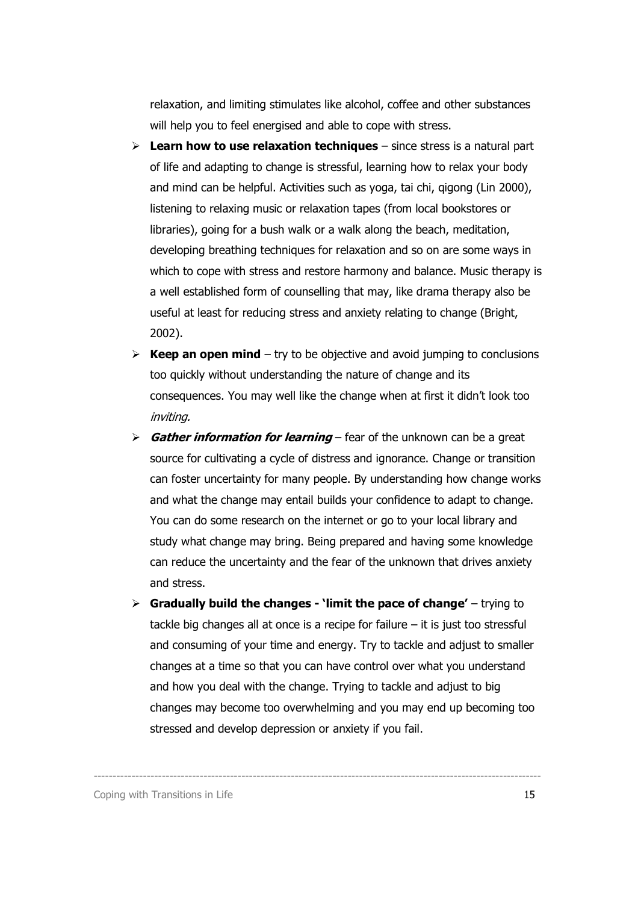relaxation, and limiting stimulates like alcohol, coffee and other substances will help you to feel energised and able to cope with stress.

- $\triangleright$  Learn how to use relaxation techniques since stress is a natural part of life and adapting to change is stressful, learning how to relax your body and mind can be helpful. Activities such as yoga, tai chi, qigong (Lin 2000), listening to relaxing music or relaxation tapes (from local bookstores or libraries), going for a bush walk or a walk along the beach, meditation, developing breathing techniques for relaxation and so on are some ways in which to cope with stress and restore harmony and balance. Music therapy is a well established form of counselling that may, like drama therapy also be useful at least for reducing stress and anxiety relating to change (Bright, 2002).
- $\triangleright$  **Keep an open mind** try to be objective and avoid jumping to conclusions too quickly without understanding the nature of change and its consequences. You may well like the change when at first it didn't look too inviting.
- $\triangleright$  Gather information for learning fear of the unknown can be a great source for cultivating a cycle of distress and ignorance. Change or transition can foster uncertainty for many people. By understanding how change works and what the change may entail builds your confidence to adapt to change. You can do some research on the internet or go to your local library and study what change may bring. Being prepared and having some knowledge can reduce the uncertainty and the fear of the unknown that drives anxiety and stress.
- $\triangleright$  Gradually build the changes 'limit the pace of change' trying to tackle big changes all at once is a recipe for failure – it is just too stressful and consuming of your time and energy. Try to tackle and adjust to smaller changes at a time so that you can have control over what you understand and how you deal with the change. Trying to tackle and adjust to big changes may become too overwhelming and you may end up becoming too stressed and develop depression or anxiety if you fail.

----------------------------------------------------------------------------------------------------------------------

Coping with Transitions in Life 15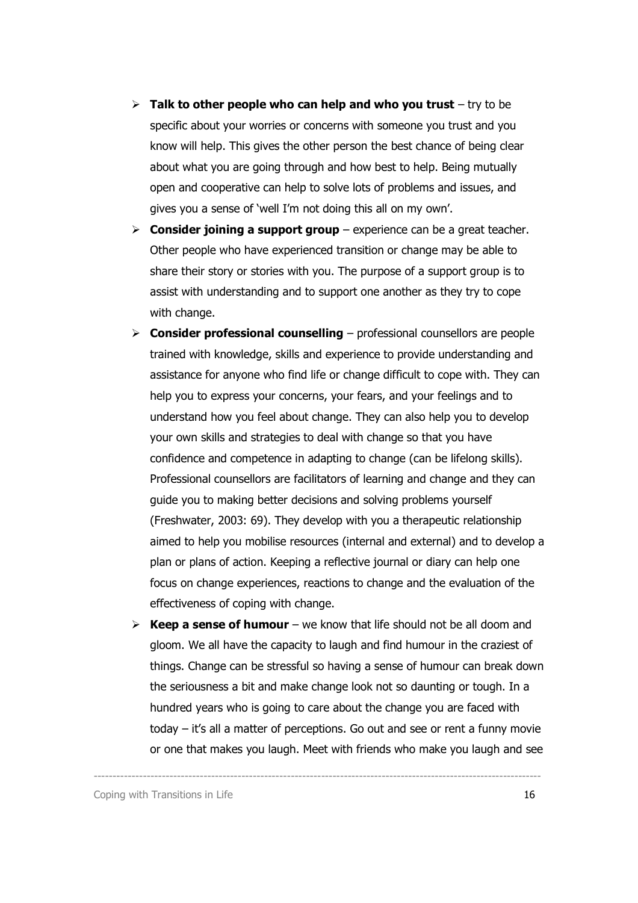- $\triangleright$  Talk to other people who can help and who you trust try to be specific about your worries or concerns with someone you trust and you know will help. This gives the other person the best chance of being clear about what you are going through and how best to help. Being mutually open and cooperative can help to solve lots of problems and issues, and gives you a sense of 'well I'm not doing this all on my own'.
- **Consider joining a support group** experience can be a great teacher. Other people who have experienced transition or change may be able to share their story or stories with you. The purpose of a support group is to assist with understanding and to support one another as they try to cope with change.
- $\triangleright$  Consider professional counselling professional counsellors are people trained with knowledge, skills and experience to provide understanding and assistance for anyone who find life or change difficult to cope with. They can help you to express your concerns, your fears, and your feelings and to understand how you feel about change. They can also help you to develop your own skills and strategies to deal with change so that you have confidence and competence in adapting to change (can be lifelong skills). Professional counsellors are facilitators of learning and change and they can guide you to making better decisions and solving problems yourself (Freshwater, 2003: 69). They develop with you a therapeutic relationship aimed to help you mobilise resources (internal and external) and to develop a plan or plans of action. Keeping a reflective journal or diary can help one focus on change experiences, reactions to change and the evaluation of the effectiveness of coping with change.
- $\triangleright$  Keep a sense of humour we know that life should not be all doom and gloom. We all have the capacity to laugh and find humour in the craziest of things. Change can be stressful so having a sense of humour can break down the seriousness a bit and make change look not so daunting or tough. In a hundred years who is going to care about the change you are faced with today – it's all a matter of perceptions. Go out and see or rent a funny movie or one that makes you laugh. Meet with friends who make you laugh and see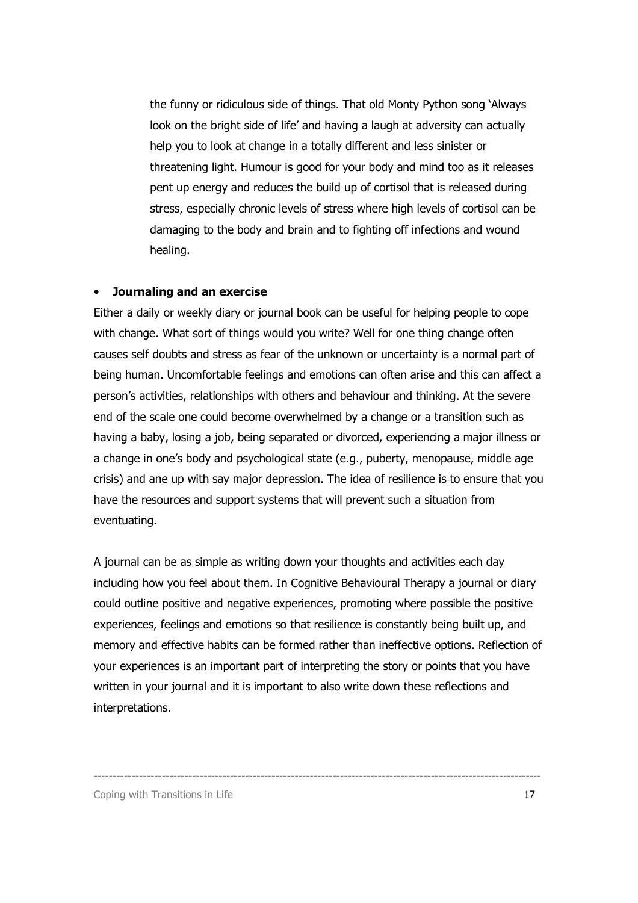the funny or ridiculous side of things. That old Monty Python song 'Always look on the bright side of life' and having a laugh at adversity can actually help you to look at change in a totally different and less sinister or threatening light. Humour is good for your body and mind too as it releases pent up energy and reduces the build up of cortisol that is released during stress, especially chronic levels of stress where high levels of cortisol can be damaging to the body and brain and to fighting off infections and wound healing.

#### • Journaling and an exercise

Either a daily or weekly diary or journal book can be useful for helping people to cope with change. What sort of things would you write? Well for one thing change often causes self doubts and stress as fear of the unknown or uncertainty is a normal part of being human. Uncomfortable feelings and emotions can often arise and this can affect a person's activities, relationships with others and behaviour and thinking. At the severe end of the scale one could become overwhelmed by a change or a transition such as having a baby, losing a job, being separated or divorced, experiencing a major illness or a change in one's body and psychological state (e.g., puberty, menopause, middle age crisis) and ane up with say major depression. The idea of resilience is to ensure that you have the resources and support systems that will prevent such a situation from eventuating.

A journal can be as simple as writing down your thoughts and activities each day including how you feel about them. In Cognitive Behavioural Therapy a journal or diary could outline positive and negative experiences, promoting where possible the positive experiences, feelings and emotions so that resilience is constantly being built up, and memory and effective habits can be formed rather than ineffective options. Reflection of your experiences is an important part of interpreting the story or points that you have written in your journal and it is important to also write down these reflections and interpretations.

----------------------------------------------------------------------------------------------------------------------

Coping with Transitions in Life 17 and 17 and 17 and 17 and 17 and 17 and 17 and 17 and 17 and 17 and 17 and 17 and 17 and 17 and 17 and 17 and 17 and 17 and 17 and 17 and 17 and 17 and 17 and 17 and 17 and 17 and 17 and 1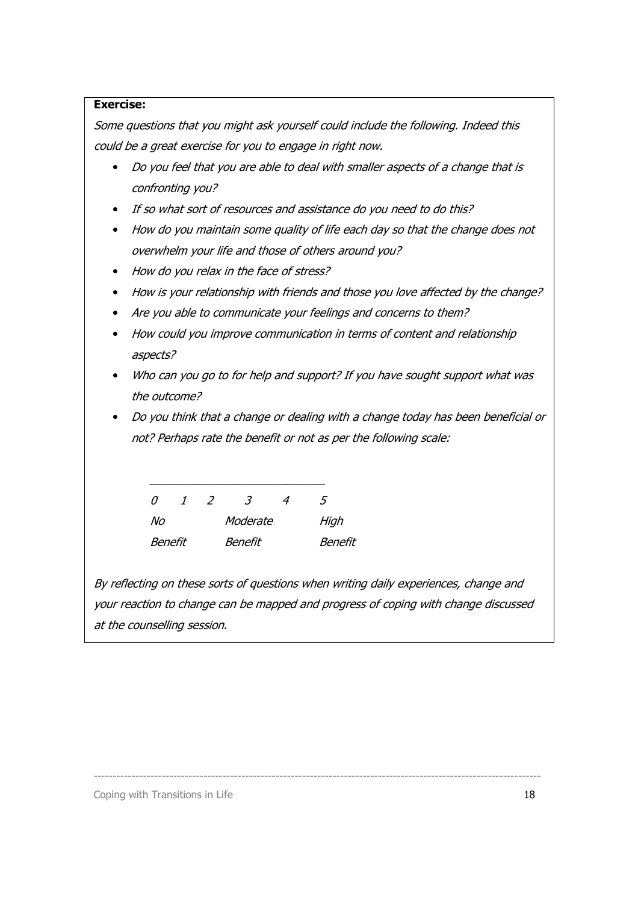### Exercise:

Some questions that you might ask yourself could include the following. Indeed this could be a great exercise for you to engage in right now.

- Do you feel that you are able to deal with smaller aspects of a change that is confronting you?
- If so what sort of resources and assistance do you need to do this?
- How do you maintain some quality of life each day so that the change does not overwhelm your life and those of others around you?
- How do you relax in the face of stress?
- How is your relationship with friends and those you love affected by the change?
- Are you able to communicate your feelings and concerns to them?
- How could you improve communication in terms of content and relationship aspects?
- Who can you go to for help and support? If you have sought support what was the outcome?
- Do you think that a change or dealing with a change today has been beneficial or not? Perhaps rate the benefit or not as per the following scale:

| n              |  |  | -3      | 4       | $\ddot{\phantom{1}}$ |
|----------------|--|--|---------|---------|----------------------|
| Moderate<br>No |  |  | High    |         |                      |
| Benefit        |  |  | Benefit | Benefit |                      |

 $\overline{\phantom{a}}$  , and the contract of the contract of the contract of the contract of the contract of the contract of the contract of the contract of the contract of the contract of the contract of the contract of the contrac

By reflecting on these sorts of questions when writing daily experiences, change and your reaction to change can be mapped and progress of coping with change discussed at the counselling session.

----------------------------------------------------------------------------------------------------------------------

Coping with Transitions in Life 18 and the 18 and the 18 and 18 and 18 and 18 and 18 and 18 and 18 and 18 and 18 and 18 and 18 and 18 and 18 and 18 and 18 and 18 and 18 and 18 and 18 and 18 and 18 and 18 and 18 and 18 and

ֺ֝֡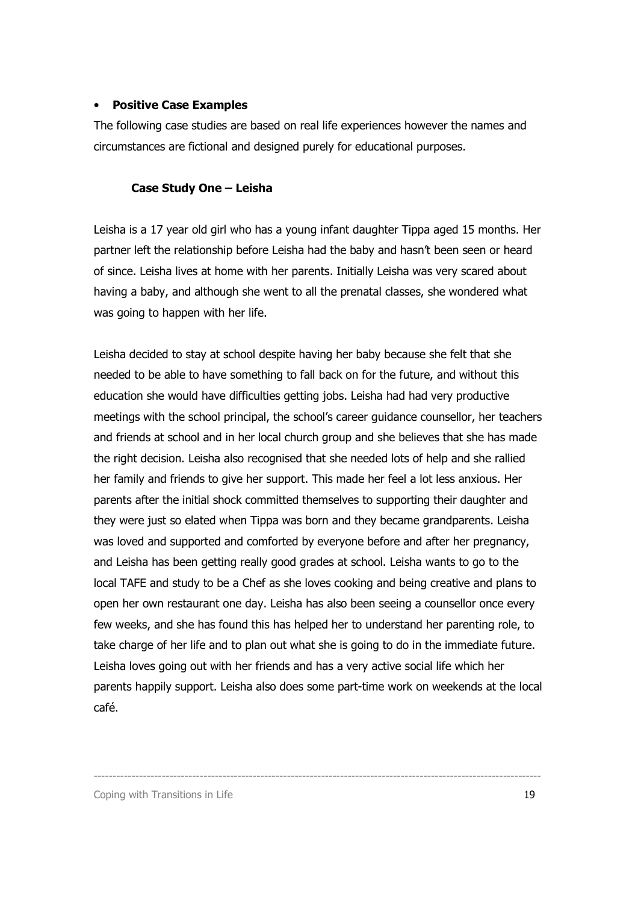### • Positive Case Examples

The following case studies are based on real life experiences however the names and circumstances are fictional and designed purely for educational purposes.

### Case Study One – Leisha

Leisha is a 17 year old girl who has a young infant daughter Tippa aged 15 months. Her partner left the relationship before Leisha had the baby and hasn't been seen or heard of since. Leisha lives at home with her parents. Initially Leisha was very scared about having a baby, and although she went to all the prenatal classes, she wondered what was going to happen with her life.

Leisha decided to stay at school despite having her baby because she felt that she needed to be able to have something to fall back on for the future, and without this education she would have difficulties getting jobs. Leisha had had very productive meetings with the school principal, the school's career guidance counsellor, her teachers and friends at school and in her local church group and she believes that she has made the right decision. Leisha also recognised that she needed lots of help and she rallied her family and friends to give her support. This made her feel a lot less anxious. Her parents after the initial shock committed themselves to supporting their daughter and they were just so elated when Tippa was born and they became grandparents. Leisha was loved and supported and comforted by everyone before and after her pregnancy, and Leisha has been getting really good grades at school. Leisha wants to go to the local TAFE and study to be a Chef as she loves cooking and being creative and plans to open her own restaurant one day. Leisha has also been seeing a counsellor once every few weeks, and she has found this has helped her to understand her parenting role, to take charge of her life and to plan out what she is going to do in the immediate future. Leisha loves going out with her friends and has a very active social life which her parents happily support. Leisha also does some part-time work on weekends at the local café.

----------------------------------------------------------------------------------------------------------------------

Coping with Transitions in Life 19 and the 19 and the 19 and 19 and 19 and 19 and 19 and 19 and 19 and 19 and 19 and 19 and 19 and 19 and 19 and 19 and 19 and 19 and 19 and 19 and 19 and 19 and 19 and 19 and 19 and 19 and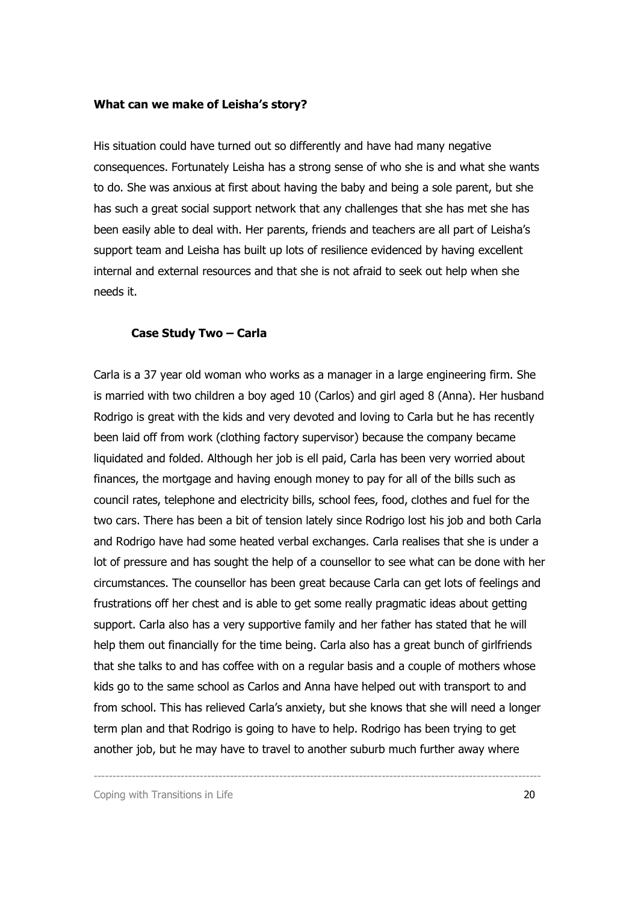#### What can we make of Leisha's story?

His situation could have turned out so differently and have had many negative consequences. Fortunately Leisha has a strong sense of who she is and what she wants to do. She was anxious at first about having the baby and being a sole parent, but she has such a great social support network that any challenges that she has met she has been easily able to deal with. Her parents, friends and teachers are all part of Leisha's support team and Leisha has built up lots of resilience evidenced by having excellent internal and external resources and that she is not afraid to seek out help when she needs it.

#### Case Study Two – Carla

Carla is a 37 year old woman who works as a manager in a large engineering firm. She is married with two children a boy aged 10 (Carlos) and girl aged 8 (Anna). Her husband Rodrigo is great with the kids and very devoted and loving to Carla but he has recently been laid off from work (clothing factory supervisor) because the company became liquidated and folded. Although her job is ell paid, Carla has been very worried about finances, the mortgage and having enough money to pay for all of the bills such as council rates, telephone and electricity bills, school fees, food, clothes and fuel for the two cars. There has been a bit of tension lately since Rodrigo lost his job and both Carla and Rodrigo have had some heated verbal exchanges. Carla realises that she is under a lot of pressure and has sought the help of a counsellor to see what can be done with her circumstances. The counsellor has been great because Carla can get lots of feelings and frustrations off her chest and is able to get some really pragmatic ideas about getting support. Carla also has a very supportive family and her father has stated that he will help them out financially for the time being. Carla also has a great bunch of girlfriends that she talks to and has coffee with on a regular basis and a couple of mothers whose kids go to the same school as Carlos and Anna have helped out with transport to and from school. This has relieved Carla's anxiety, but she knows that she will need a longer term plan and that Rodrigo is going to have to help. Rodrigo has been trying to get another job, but he may have to travel to another suburb much further away where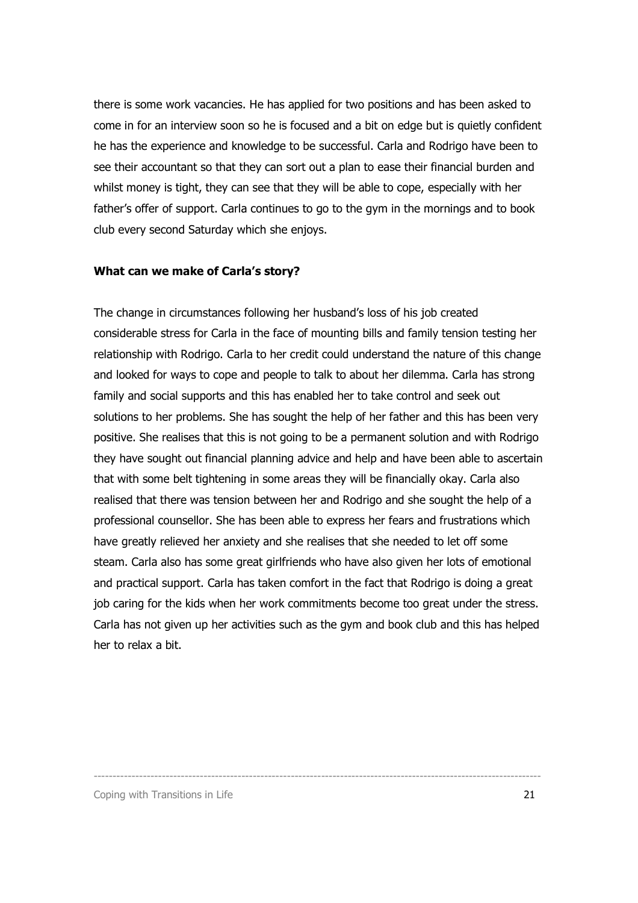there is some work vacancies. He has applied for two positions and has been asked to come in for an interview soon so he is focused and a bit on edge but is quietly confident he has the experience and knowledge to be successful. Carla and Rodrigo have been to see their accountant so that they can sort out a plan to ease their financial burden and whilst money is tight, they can see that they will be able to cope, especially with her father's offer of support. Carla continues to go to the gym in the mornings and to book club every second Saturday which she enjoys.

#### What can we make of Carla's story?

The change in circumstances following her husband's loss of his job created considerable stress for Carla in the face of mounting bills and family tension testing her relationship with Rodrigo. Carla to her credit could understand the nature of this change and looked for ways to cope and people to talk to about her dilemma. Carla has strong family and social supports and this has enabled her to take control and seek out solutions to her problems. She has sought the help of her father and this has been very positive. She realises that this is not going to be a permanent solution and with Rodrigo they have sought out financial planning advice and help and have been able to ascertain that with some belt tightening in some areas they will be financially okay. Carla also realised that there was tension between her and Rodrigo and she sought the help of a professional counsellor. She has been able to express her fears and frustrations which have greatly relieved her anxiety and she realises that she needed to let off some steam. Carla also has some great girlfriends who have also given her lots of emotional and practical support. Carla has taken comfort in the fact that Rodrigo is doing a great job caring for the kids when her work commitments become too great under the stress. Carla has not given up her activities such as the gym and book club and this has helped her to relax a bit.

----------------------------------------------------------------------------------------------------------------------

Coping with Transitions in Life 21 and 20 and 21 and 21 and 21 and 21 and 21 and 21 and 21 and 21 and 21 and 21 and 21 and 21 and 22 and 22 and 22 and 22 and 22 and 22 and 22 and 22 and 22 and 22 and 22 and 22 and 22 and 2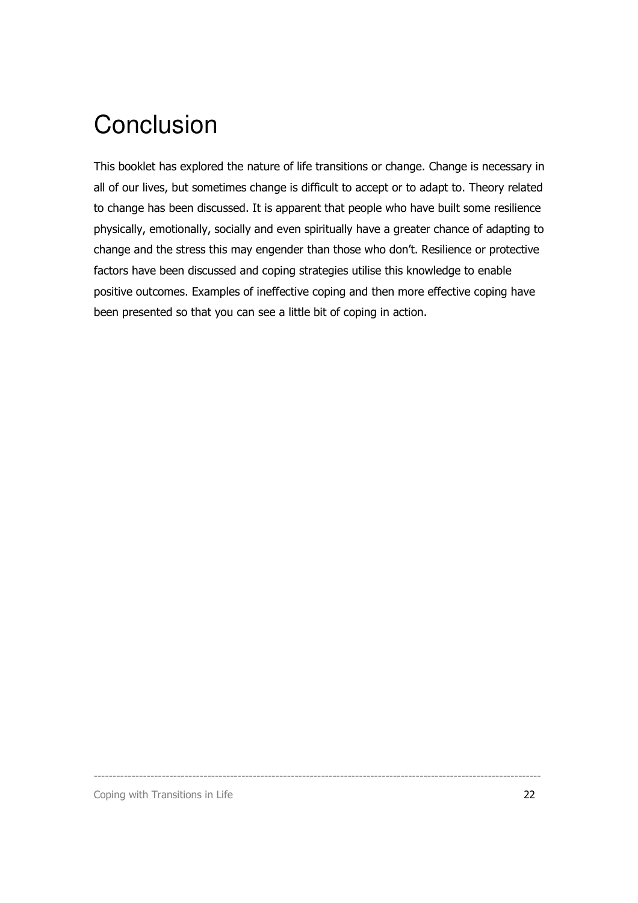# **Conclusion**

This booklet has explored the nature of life transitions or change. Change is necessary in all of our lives, but sometimes change is difficult to accept or to adapt to. Theory related to change has been discussed. It is apparent that people who have built some resilience physically, emotionally, socially and even spiritually have a greater chance of adapting to change and the stress this may engender than those who don't. Resilience or protective factors have been discussed and coping strategies utilise this knowledge to enable positive outcomes. Examples of ineffective coping and then more effective coping have been presented so that you can see a little bit of coping in action.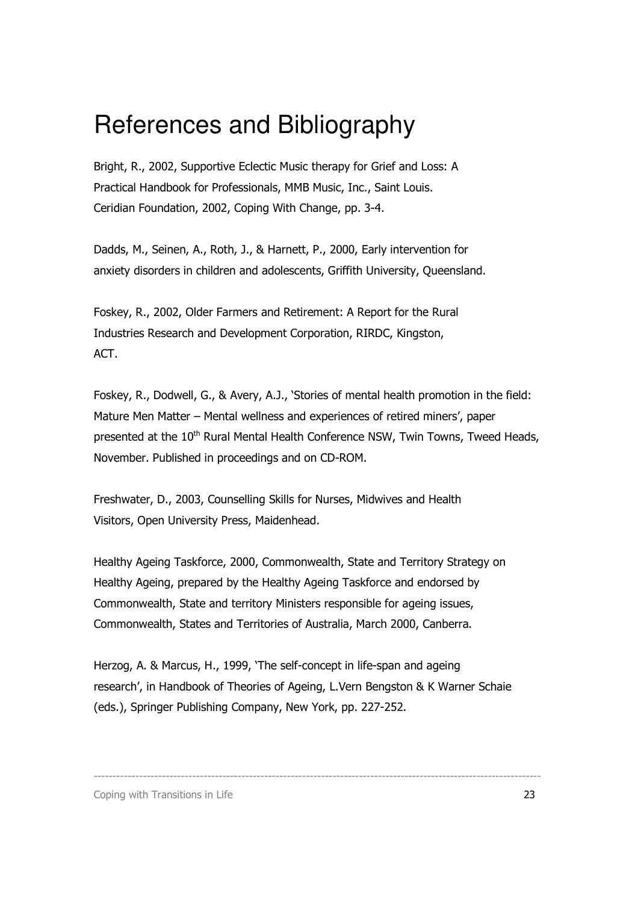# References and Bibliography

Bright, R., 2002, Supportive Eclectic Music therapy for Grief and Loss: A Practical Handbook for Professionals, MMB Music, Inc., Saint Louis. Ceridian Foundation, 2002, Coping With Change, pp. 3-4.

Dadds, M., Seinen, A., Roth, J., & Harnett, P., 2000, Early intervention for anxiety disorders in children and adolescents, Griffith University, Queensland.

Foskey, R., 2002, Older Farmers and Retirement: A Report for the Rural Industries Research and Development Corporation, RIRDC, Kingston, ACT.

Foskey, R., Dodwell, G., & Avery, A.J., 'Stories of mental health promotion in the field: Mature Men Matter – Mental wellness and experiences of retired miners', paper presented at the 10<sup>th</sup> Rural Mental Health Conference NSW, Twin Towns, Tweed Heads, November. Published in proceedings and on CD-ROM.

Freshwater, D., 2003, Counselling Skills for Nurses, Midwives and Health Visitors, Open University Press, Maidenhead.

Healthy Ageing Taskforce, 2000, Commonwealth, State and Territory Strategy on Healthy Ageing, prepared by the Healthy Ageing Taskforce and endorsed by Commonwealth, State and territory Ministers responsible for ageing issues, Commonwealth, States and Territories of Australia, March 2000, Canberra.

Herzog, A. & Marcus, H., 1999, 'The self-concept in life-span and ageing research', in Handbook of Theories of Ageing, L.Vern Bengston & K Warner Schaie (eds.), Springer Publishing Company, New York, pp. 227-252.